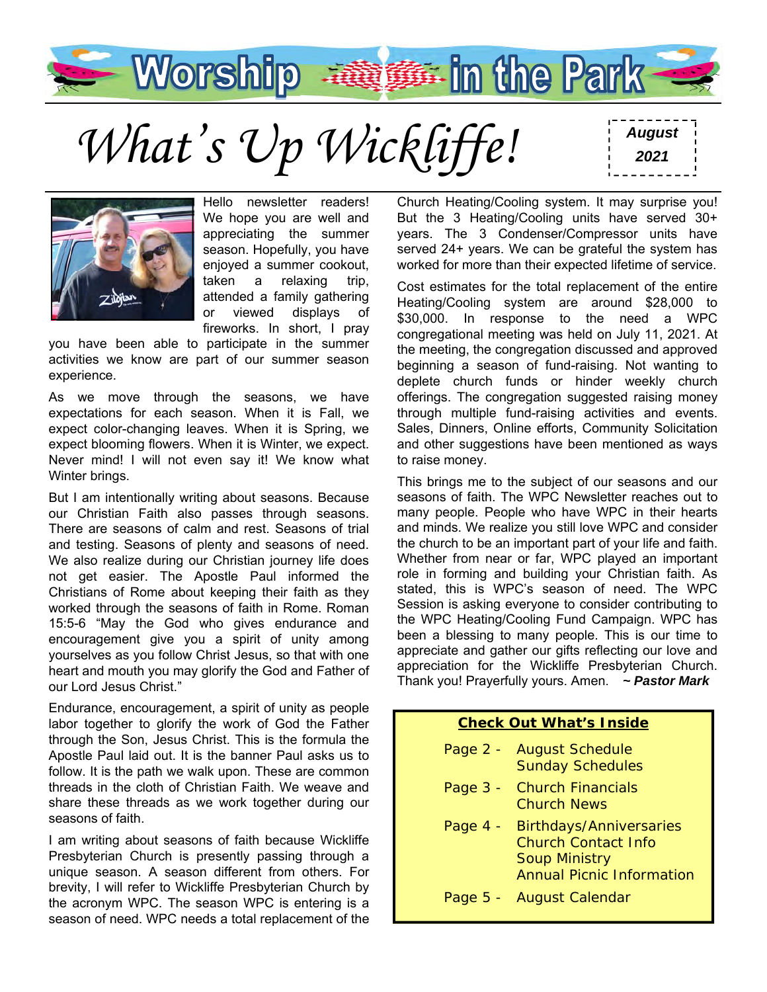

*August What's Up Wickliffe! <sup>2021</sup>*



Hello newsletter readers! We hope you are well and appreciating the summer season. Hopefully, you have enjoyed a summer cookout, taken a relaxing trip, attended a family gathering or viewed displays of fireworks. In short, I pray

you have been able to participate in the summer activities we know are part of our summer season experience.

As we move through the seasons, we have expectations for each season. When it is Fall, we expect color-changing leaves. When it is Spring, we expect blooming flowers. When it is Winter, we expect. Never mind! I will not even say it! We know what Winter brings.

But I am intentionally writing about seasons. Because our Christian Faith also passes through seasons. There are seasons of calm and rest. Seasons of trial and testing. Seasons of plenty and seasons of need. We also realize during our Christian journey life does not get easier. The Apostle Paul informed the Christians of Rome about keeping their faith as they worked through the seasons of faith in Rome. Roman 15:5-6 "May the God who gives endurance and encouragement give you a spirit of unity among yourselves as you follow Christ Jesus, so that with one heart and mouth you may glorify the God and Father of our Lord Jesus Christ."

Endurance, encouragement, a spirit of unity as people labor together to glorify the work of God the Father through the Son, Jesus Christ. This is the formula the Apostle Paul laid out. It is the banner Paul asks us to follow. It is the path we walk upon. These are common threads in the cloth of Christian Faith. We weave and share these threads as we work together during our seasons of faith.

I am writing about seasons of faith because Wickliffe Presbyterian Church is presently passing through a unique season. A season different from others. For brevity, I will refer to Wickliffe Presbyterian Church by the acronym WPC. The season WPC is entering is a season of need. WPC needs a total replacement of the

Church Heating/Cooling system. It may surprise you! But the 3 Heating/Cooling units have served 30+ years. The 3 Condenser/Compressor units have served 24+ years. We can be grateful the system has worked for more than their expected lifetime of service.

Cost estimates for the total replacement of the entire Heating/Cooling system are around \$28,000 to \$30,000. In response to the need a WPC congregational meeting was held on July 11, 2021. At the meeting, the congregation discussed and approved beginning a season of fund-raising. Not wanting to deplete church funds or hinder weekly church offerings. The congregation suggested raising money through multiple fund-raising activities and events. Sales, Dinners, Online efforts, Community Solicitation and other suggestions have been mentioned as ways to raise money.

This brings me to the subject of our seasons and our seasons of faith. The WPC Newsletter reaches out to many people. People who have WPC in their hearts and minds. We realize you still love WPC and consider the church to be an important part of your life and faith. Whether from near or far, WPC played an important role in forming and building your Christian faith. As stated, this is WPC's season of need. The WPC Session is asking everyone to consider contributing to the WPC Heating/Cooling Fund Campaign. WPC has been a blessing to many people. This is our time to appreciate and gather our gifts reflecting our love and appreciation for the Wickliffe Presbyterian Church. Thank you! Prayerfully yours. Amen. *~ Pastor Mark*

#### **Check Out What's Inside**  Page 2 - August Schedule Sunday Schedules Page 3 - Church Financials Church News Page 4 - Birthdays/Anniversaries Church Contact Info Soup Ministry

Annual Picnic Information

Page 5 - August Calendar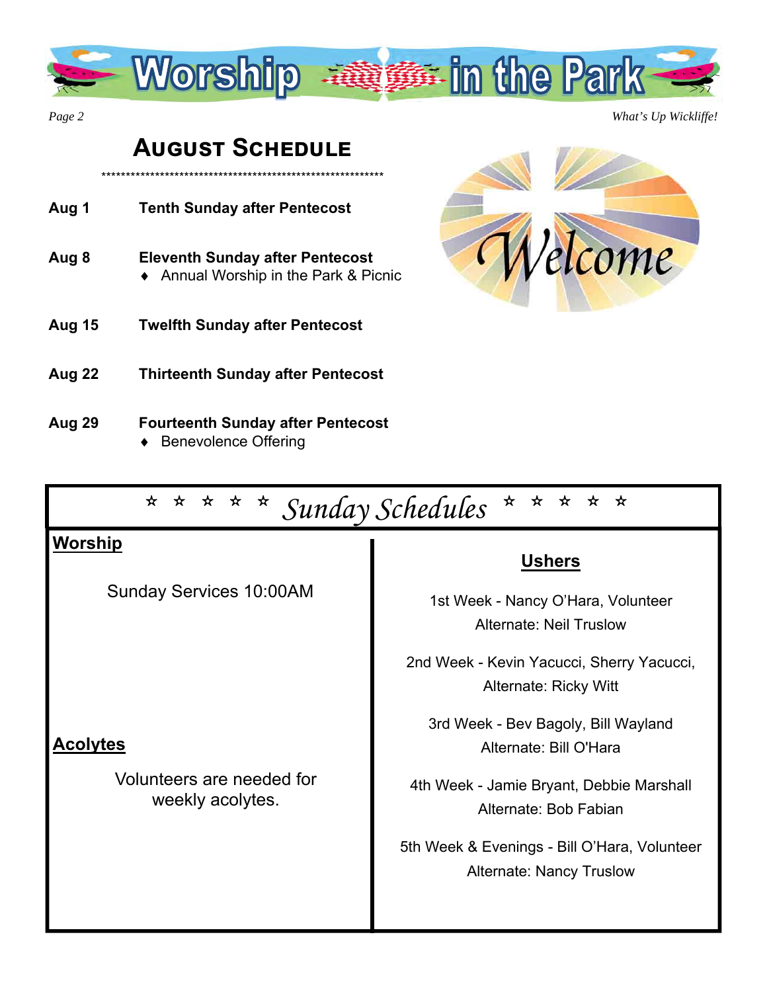

*Page 2 What's Up Wickliffe!* 

# **AUGUST SCHEDULE**

\*\*\*\*\*\*\*\*\*\*\*\*\*\*\*\*\*\*\*\*\*\*\*\*\*\*\*\*\*\*\*\*\*\*\*\*\*\*\*\*\*\*\*\*\*\*\*\*\*\*\*\*\*\*\*\*\*\* **Aug 1 Tenth Sunday after Pentecost Aug 8 Eleventh Sunday after Pentecost**  ◆ Annual Worship in the Park & Picnic **Aug 15 Twelfth Sunday after Pentecost** 



- **Aug 22 Thirteenth Sunday after Pentecost**
- **Aug 29 Fourteenth Sunday after Pentecost**  ◆ Benevolence Offering

| * * * * Sunday Schedules<br>* * * *<br>$\star$<br>★              |                                                                                                                                                                                                                                                                                                                        |  |  |  |  |
|------------------------------------------------------------------|------------------------------------------------------------------------------------------------------------------------------------------------------------------------------------------------------------------------------------------------------------------------------------------------------------------------|--|--|--|--|
| <b>Worship</b><br><b>Sunday Services 10:00AM</b>                 | <b>Ushers</b><br>1st Week - Nancy O'Hara, Volunteer                                                                                                                                                                                                                                                                    |  |  |  |  |
| <b>Acolytes</b><br>Volunteers are needed for<br>weekly acolytes. | Alternate: Neil Truslow<br>2nd Week - Kevin Yacucci, Sherry Yacucci,<br>Alternate: Ricky Witt<br>3rd Week - Bev Bagoly, Bill Wayland<br>Alternate: Bill O'Hara<br>4th Week - Jamie Bryant, Debbie Marshall<br>Alternate: Bob Fabian<br>5th Week & Evenings - Bill O'Hara, Volunteer<br><b>Alternate: Nancy Truslow</b> |  |  |  |  |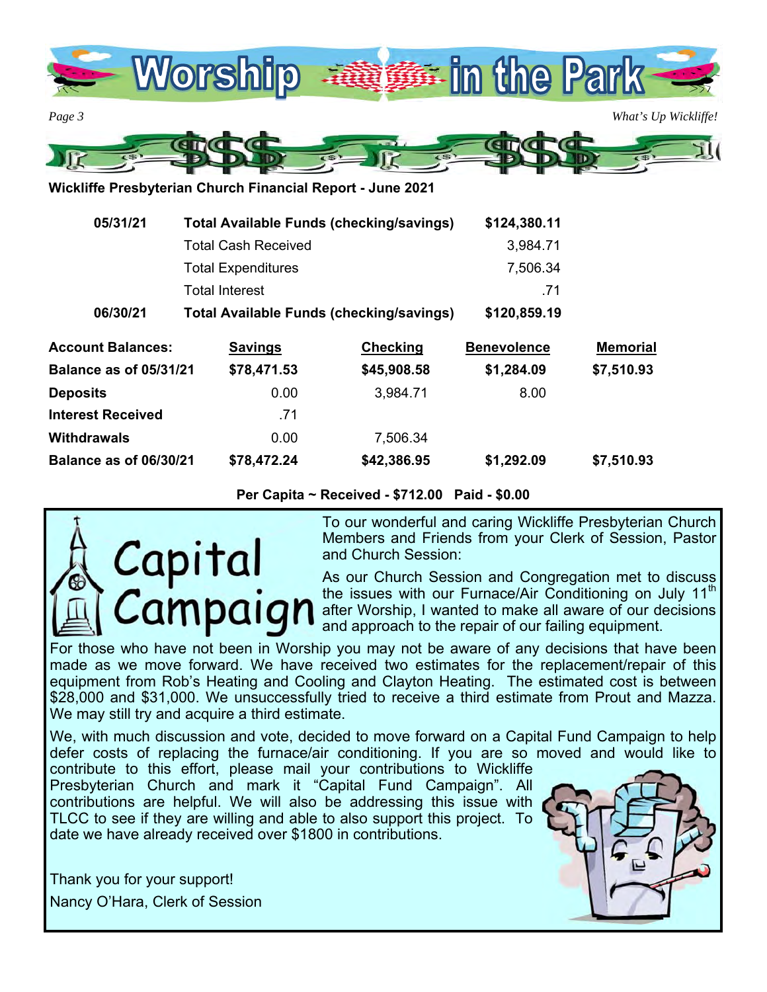

*Page 3 What's Up Wickliffe!*  GTGTG an

**Wickliffe Presbyterian Church Financial Report - June 2021** 

| 05/31/21<br><b>Total Available Funds (checking/savings)</b><br><b>Total Cash Received</b> |                                                 |                 | \$124,380.11<br>3,984.71 |                 |  |
|-------------------------------------------------------------------------------------------|-------------------------------------------------|-----------------|--------------------------|-----------------|--|
|                                                                                           |                                                 |                 |                          |                 |  |
|                                                                                           | <b>Total Interest</b>                           |                 |                          |                 |  |
| 06/30/21                                                                                  | <b>Total Available Funds (checking/savings)</b> |                 | \$120,859.19             |                 |  |
| <b>Account Balances:</b>                                                                  | <b>Savings</b>                                  | <b>Checking</b> | <b>Benevolence</b>       | <b>Memorial</b> |  |
| <b>Balance as of 05/31/21</b>                                                             | \$78,471.53                                     | \$45,908.58     | \$1,284.09               | \$7,510.93      |  |
| Deposits                                                                                  | 0.00                                            | 3,984.71        | 8.00                     |                 |  |
| <b>Interest Received</b>                                                                  | .71                                             |                 |                          |                 |  |
| Withdrawals                                                                               | 0.00                                            | 7,506.34        |                          |                 |  |
| <b>Balance as of 06/30/21</b>                                                             | \$78,472.24                                     | \$42,386.95     | \$1,292.09               | \$7,510.93      |  |

**Per Capita ~ Received - \$712.00 Paid - \$0.00** 



To our wonderful and caring Wickliffe Presbyterian Church Members and Friends from your Clerk of Session, Pastor and Church Session:

As our Church Session and Congregation met to discuss the issues with our Furnace/Air Conditioning on July 11<sup>th</sup> after Worship, I wanted to make all aware of our decisions and approach to the repair of our failing equipment.

For those who have not been in Worship you may not be aware of any decisions that have been made as we move forward. We have received two estimates for the replacement/repair of this equipment from Rob's Heating and Cooling and Clayton Heating. The estimated cost is between \$28,000 and \$31,000. We unsuccessfully tried to receive a third estimate from Prout and Mazza. We may still try and acquire a third estimate.

We, with much discussion and vote, decided to move forward on a Capital Fund Campaign to help defer costs of replacing the furnace/air conditioning. If you are so moved and would like to

contribute to this effort, please mail your contributions to Wickliffe Presbyterian Church and mark it "Capital Fund Campaign". All contributions are helpful. We will also be addressing this issue with TLCC to see if they are willing and able to also support this project. To date we have already received over \$1800 in contributions.

Thank you for your support! Nancy O'Hara, Clerk of Session

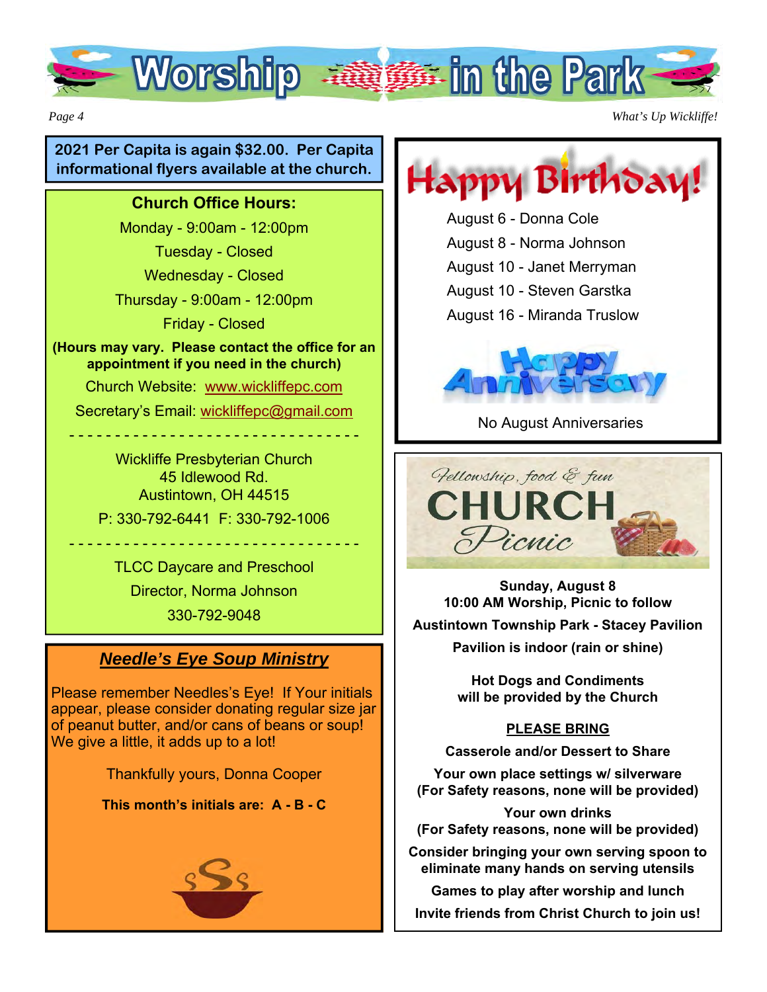

*Page 4 What's Up Wickliffe!* 

### **2021 Per Capita is again \$32.00. Per Capita informational flyers available at the church.**

#### **Church Office Hours:**

Monday - 9:00am - 12:00pm

Tuesday - Closed

Wednesday - Closed

Thursday - 9:00am - 12:00pm

Friday - Closed

**(Hours may vary. Please contact the office for an appointment if you need in the church)** 

Church Website: www.wickliffepc.com

Secretary's Email: wickliffepc@gmail.com - - - - - - - - - - - - - - - - - - - - - - - - - - - - - - - -

Wickliffe Presbyterian Church 45 Idlewood Rd. Austintown, OH 44515 P: 330-792-6441 F: 330-792-1006

TLCC Daycare and Preschool Director, Norma Johnson 330-792-9048

- - - - - - - - - - - - - - - - - - - - - - - - - - - - - - - -

## *Needle's Eye Soup Ministry*

Please remember Needles's Eye! If Your initials appear, please consider donating regular size jar of peanut butter, and/or cans of beans or soup! We give a little, it adds up to a lot!

Thankfully yours, Donna Cooper

**This month's initials are: A - B - C**



Happy Birthdai

August 6 - Donna Cole August 8 - Norma Johnson August 10 - Janet Merryman August 10 - Steven Garstka August 16 - Miranda Truslow



No August Anniversaries



**Sunday, August 8 10:00 AM Worship, Picnic to follow Austintown Township Park - Stacey Pavilion Pavilion is indoor (rain or shine)** 

> **Hot Dogs and Condiments will be provided by the Church**

#### **PLEASE BRING**

**Casserole and/or Dessert to Share** 

**Your own place settings w/ silverware (For Safety reasons, none will be provided)** 

**Your own drinks (For Safety reasons, none will be provided)** 

**Consider bringing your own serving spoon to eliminate many hands on serving utensils** 

**Games to play after worship and lunch** 

**Invite friends from Christ Church to join us!**